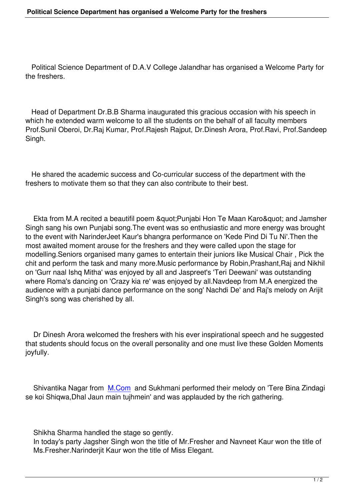Political Science Department of D.A.V College Jalandhar has organised a Welcome Party for the freshers.

 Head of Department Dr.B.B Sharma inaugurated this gracious occasion with his speech in which he extended warm welcome to all the students on the behalf of all faculty members Prof.Sunil Oberoi, Dr.Raj Kumar, Prof.Rajesh Rajput, Dr.Dinesh Arora, Prof.Ravi, Prof.Sandeep Singh.

 He shared the academic success and Co-curricular success of the department with the freshers to motivate them so that they can also contribute to their best.

Ekta from M.A recited a beautifil poem & quot; Punjabi Hon Te Maan Karo & quot; and Jamsher Singh sang his own Punjabi song.The event was so enthusiastic and more energy was brought to the event with NarinderJeet Kaur's bhangra performance on 'Kede Pind Di Tu Ni'.Then the most awaited moment arouse for the freshers and they were called upon the stage for modelling.Seniors organised many games to entertain their juniors like Musical Chair , Pick the chit and perform the task and many more.Music performance by Robin,Prashant,Raj and Nikhil on 'Gurr naal Ishq Mitha' was enjoyed by all and Jaspreet's 'Teri Deewani' was outstanding where Roma's dancing on 'Crazy kia re' was enjoyed by all.Navdeep from M.A energized the audience with a punjabi dance performance on the song' Nachdi De' and Raj's melody on Arijit Singh's song was cherished by all.

 Dr Dinesh Arora welcomed the freshers with his ever inspirational speech and he suggested that students should focus on the overall personality and one must live these Golden Moments joyfully.

 Shivantika Nagar from M.Com and Sukhmani performed their melody on 'Tere Bina Zindagi se koi Shiqwa,Dhal Jaun main tujhmein' and was applauded by the rich gathering.

Shikha Sharma handled the stage so gently.

 In today's party Jagsher Singh won the title of Mr.Fresher and Navneet Kaur won the title of Ms.Fresher.Narinderjit Kaur won the title of Miss Elegant.